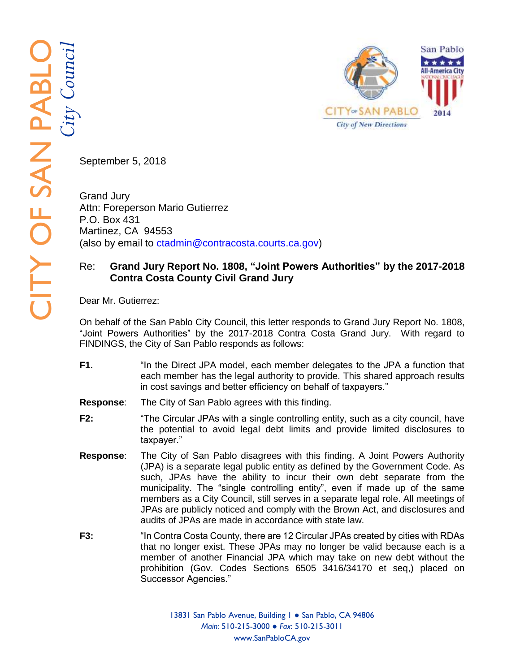

September 5, 2018

Grand Jury Attn: Foreperson Mario Gutierrez P.O. Box 431 Martinez, CA 94553 (also by email to [ctadmin@contracosta.courts.ca.gov\)](mailto:ctadmin@contracosta.courts.ca.gov)

## Re: **Grand Jury Report No. 1808, "Joint Powers Authorities" by the 201 7 -201 8 Contra Costa County Civil Grand Jury**

Dear Mr. Gutierrez:

On behalf of the San Pablo City Council, this letter responds to Grand Jury Report No. 1808, "Joint Powers Authorities" by the 2017-2018 Contra Costa Grand Jury. With regard to FINDINGS, the City of San Pablo responds as follows:

- **F1.** "In the Direct JPA model, each member delegates to the JPA a function that each member has the legal authority to provide. This shared approach results in cost savings and better efficiency on behalf of taxpayers."
- **Response** The City of San Pablo agrees with this finding.
- **F2:** "The Circular JPAs with a single controlling entity, such as a city council, have the potential to avoid legal debt limits and provide limited disclosures to taxpayer."
- **Response** : The City of San Pablo disagrees with this finding. A Joint Powers Authority (JPA) is a separate legal public entity as defined by the Government Code. As such, JPAs have the ability to incur their own debt separate from the municipality. The "single controlling entity", even if made up of the same members as a City Council, still serves in a separate legal role. All meetings of JPAs are publicly noticed and comply with the Brown Act, and disclosures and audits of JPAs are made in accordance with state law.
- **F3:** "In Contra Costa County, there are 12 Circular JPAs created by cities with RDAs that no longer exist. These JPAs may no longer be valid because each is a member of another Financial JPA which may take on new debt without the prohibition (Gov. Codes Sections 6505 3416/34170 et seq,) placed on Successor Agencies."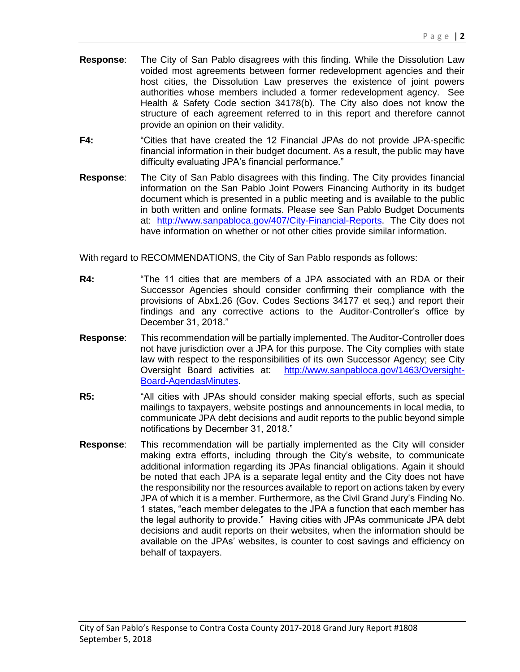- **Response**: The City of San Pablo disagrees with this finding. While the Dissolution Law voided most agreements between former redevelopment agencies and their host cities, the Dissolution Law preserves the existence of joint powers authorities whose members included a former redevelopment agency. See Health & Safety Code section 34178(b). The City also does not know the structure of each agreement referred to in this report and therefore cannot provide an opinion on their validity.
- **F4:** "Cities that have created the 12 Financial JPAs do not provide JPA-specific financial information in their budget document. As a result, the public may have difficulty evaluating JPA's financial performance."
- **Response**: The City of San Pablo disagrees with this finding. The City provides financial information on the San Pablo Joint Powers Financing Authority in its budget document which is presented in a public meeting and is available to the public in both written and online formats. Please see San Pablo Budget Documents at: [http://www.sanpabloca.gov/407/City-Financial-Reports.](http://www.sanpabloca.gov/407/City-Financial-Reports) The City does not have information on whether or not other cities provide similar information.

With regard to RECOMMENDATIONS, the City of San Pablo responds as follows:

- **R4:** "The 11 cities that are members of a JPA associated with an RDA or their Successor Agencies should consider confirming their compliance with the provisions of Abx1.26 (Gov. Codes Sections 34177 et seq.) and report their findings and any corrective actions to the Auditor-Controller's office by December 31, 2018."
- **Response**: This recommendation will be partially implemented. The Auditor-Controller does not have jurisdiction over a JPA for this purpose. The City complies with state law with respect to the responsibilities of its own Successor Agency; see City Oversight Board activities at: [http://www.sanpabloca.gov/1463/Oversight-](http://www.sanpabloca.gov/1463/Oversight-Board-AgendasMinutes)[Board-AgendasMinutes.](http://www.sanpabloca.gov/1463/Oversight-Board-AgendasMinutes)
- **R5:** "All cities with JPAs should consider making special efforts, such as special mailings to taxpayers, website postings and announcements in local media, to communicate JPA debt decisions and audit reports to the public beyond simple notifications by December 31, 2018."
- **Response**: This recommendation will be partially implemented as the City will consider making extra efforts, including through the City's website, to communicate additional information regarding its JPAs financial obligations. Again it should be noted that each JPA is a separate legal entity and the City does not have the responsibility nor the resources available to report on actions taken by every JPA of which it is a member. Furthermore, as the Civil Grand Jury's Finding No. 1 states, "each member delegates to the JPA a function that each member has the legal authority to provide." Having cities with JPAs communicate JPA debt decisions and audit reports on their websites, when the information should be available on the JPAs' websites, is counter to cost savings and efficiency on behalf of taxpayers.